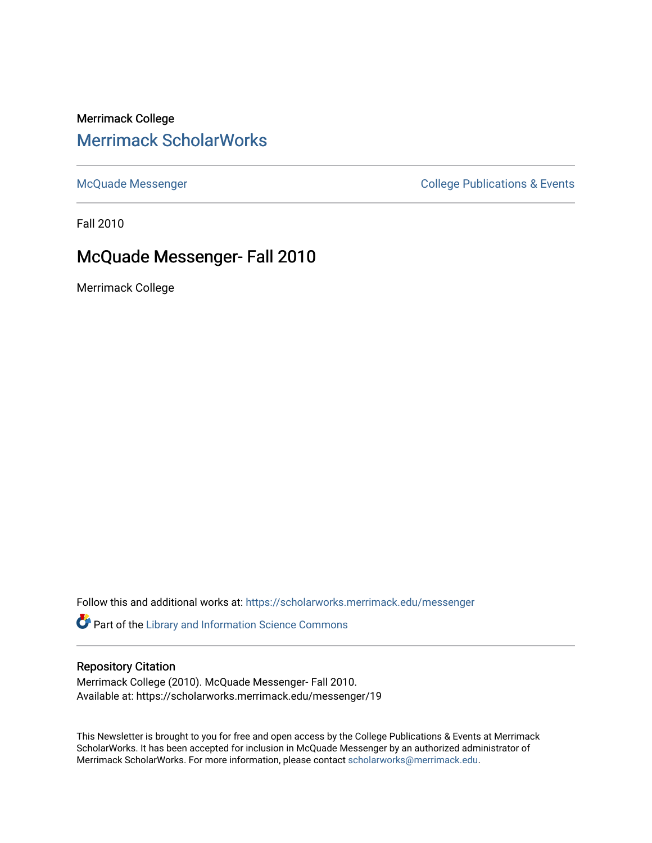# Merrimack College [Merrimack ScholarWorks](https://scholarworks.merrimack.edu/)

[McQuade Messenger](https://scholarworks.merrimack.edu/messenger) College Publications & Events

Fall 2010

# McQuade Messenger- Fall 2010

Merrimack College

Follow this and additional works at: [https://scholarworks.merrimack.edu/messenger](https://scholarworks.merrimack.edu/messenger?utm_source=scholarworks.merrimack.edu%2Fmessenger%2F19&utm_medium=PDF&utm_campaign=PDFCoverPages) 

Part of the [Library and Information Science Commons](http://network.bepress.com/hgg/discipline/1018?utm_source=scholarworks.merrimack.edu%2Fmessenger%2F19&utm_medium=PDF&utm_campaign=PDFCoverPages) 

## Repository Citation

Merrimack College (2010). McQuade Messenger- Fall 2010. Available at: https://scholarworks.merrimack.edu/messenger/19

This Newsletter is brought to you for free and open access by the College Publications & Events at Merrimack ScholarWorks. It has been accepted for inclusion in McQuade Messenger by an authorized administrator of Merrimack ScholarWorks. For more information, please contact [scholarworks@merrimack.edu](mailto:scholarworks@merrimack.edu).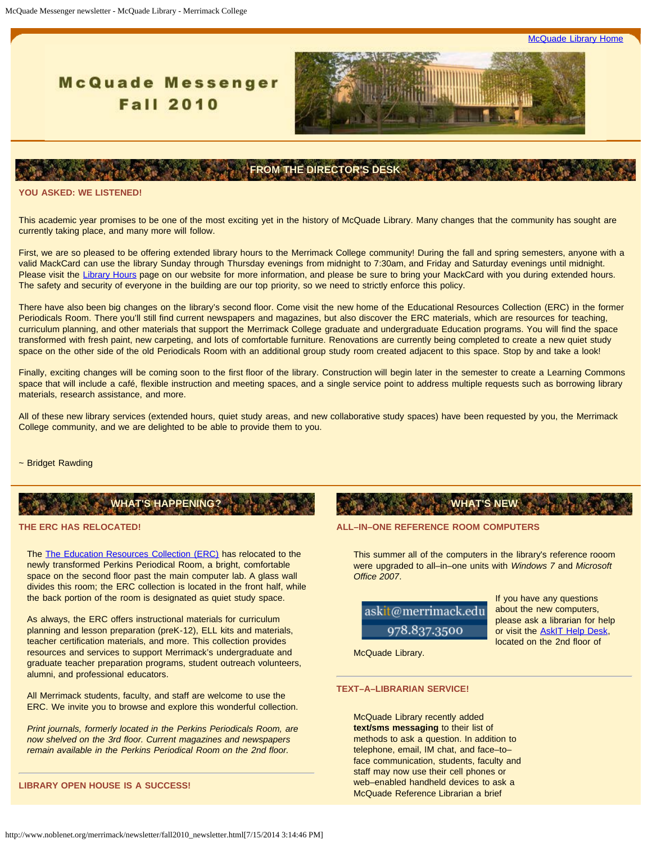**[McQuade Library Home](http://www.noblenet.org/merrimack/)** 

# **McQuade Messenger Fall 2010**



## **FROM THE DIRECTOR'S DESK**

#### <span id="page-1-0"></span>**ASKED: WE LISTENED!**

This academic year promises to be one of the most exciting yet in the history of McQuade Library. Many changes that the community has sought are currently taking place, and many more will follow.

First, we are so pleased to be offering extended library hours to the Merrimack College community! During the fall and spring semesters, anyone with a valid MackCard can use the library Sunday through Thursday evenings from midnight to 7:30am, and Friday and Saturday evenings until midnight. Please visit the [Library Hours](http://www.noblenet.org/merrimack/hours.htm) page on our website for more information, and please be sure to bring your MackCard with you during extended hours. The safety and security of everyone in the building are our top priority, so we need to strictly enforce this policy.

There have also been big changes on the library's second floor. Come visit the new home of the Educational Resources Collection (ERC) in the former Periodicals Room. There you'll still find current newspapers and magazines, but also discover the ERC materials, which are resources for teaching, curriculum planning, and other materials that support the Merrimack College graduate and undergraduate Education programs. You will find the space transformed with fresh paint, new carpeting, and lots of comfortable furniture. Renovations are currently being completed to create a new quiet study space on the other side of the old Periodicals Room with an additional group study room created adjacent to this space. Stop by and take a look!

Finally, exciting changes will be coming soon to the first floor of the library. Construction will begin later in the semester to create a Learning Commons space that will include a café, flexible instruction and meeting spaces, and a single service point to address multiple requests such as borrowing library materials, research assistance, and more.

All of these new library services (extended hours, quiet study areas, and new collaborative study spaces) have been requested by you, the Merrimack College community, and we are delighted to be able to provide them to you.

#### ~ Bridget Rawding

# **WHAT'S HAPPENING?**

### **THE ERC HAS RELOCATED!**

The [The Education Resources Collection \(ERC\)](http://server1.noblenet.org/merrimack/blog2/) has relocated to the newly transformed Perkins Periodical Room, a bright, comfortable space on the second floor past the main computer lab. A glass wall divides this room; the ERC collection is located in the front half, while the back portion of the room is designated as quiet study space.

As always, the ERC offers instructional materials for curriculum planning and lesson preparation (preK-12), ELL kits and materials, teacher certification materials, and more. This collection provides resources and services to support Merrimack's undergraduate and graduate teacher preparation programs, student outreach volunteers, alumni, and professional educators.

All Merrimack students, faculty, and staff are welcome to use the ERC. We invite you to browse and explore this wonderful collection.

*Print journals, formerly located in the Perkins Periodicals Room, are now shelved on the 3rd floor. Current magazines and newspapers remain available in the Perkins Periodical Room on the 2nd floor.*

#### **LIBRARY OPEN HOUSE IS A SUCCESS!**

## **ALL–IN–ONE REFERENCE ROOM COMPUTERS**

This summer all of the computers in the library's reference rooom were upgraded to all–in–one units with *Windows 7* and *Microsoft Office 2007*.

**WHAT'S NEW**



If you have any questions about the new computers, please ask a librarian for help or visit the [AskIT Help Desk](http://warrior.merrimack.edu/life/askit/Pages/default.aspx), located on the 2nd floor of

McQuade Library.

#### **TEXT–A–LIBRARIAN SERVICE!**

McQuade Library recently added **text/sms messaging** to their list of methods to ask a question. In addition to telephone, email, IM chat, and face–to– face communication, students, faculty and staff may now use their cell phones or web–enabled handheld devices to ask a McQuade Reference Librarian a brief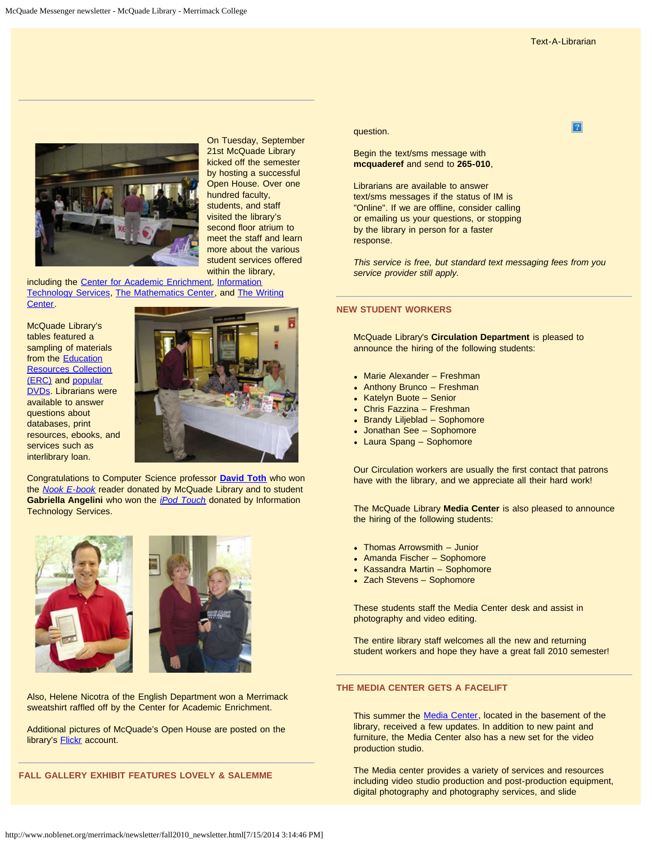$\overline{?}$ 



On Tuesday, September 21st McQuade Library kicked off the semester by hosting a successful Open House. Over one hundred faculty, students, and staff visited the library's second floor atrium to meet the staff and learn more about the various student services offered within the library,

including the [Center for Academic Enrichment,](http://warrior.merrimack.edu/academics/AcademicSupport/Pages/TheStudyCenter.aspx) [Information](http://warrior.merrimack.edu/life/askit/Pages/default.aspx) [Technology Services](http://warrior.merrimack.edu/life/askit/Pages/default.aspx), [The Mathematics Center,](http://www.merrimack.edu/academics/AcademicSupport/Pages/TheMathCenter.aspx) and [The Writing](http://www.merrimack.edu/academics/AcademicSupport/Writing_Center/Pages/default.aspx) [Center.](http://www.merrimack.edu/academics/AcademicSupport/Writing_Center/Pages/default.aspx)

McQuade Library's tables featured a sampling of materials from the [Education](http://server1.noblenet.org/merrimack/blog2/) [Resources Collection](http://server1.noblenet.org/merrimack/blog2/) [\(ERC\)](http://server1.noblenet.org/merrimack/blog2/) and [popular](http://www.noblenet.org/merrimack/booklists/dvds.htm) [DVDs](http://www.noblenet.org/merrimack/booklists/dvds.htm). Librarians were available to answer questions about databases, print resources, ebooks, and services such as interlibrary loan.



Congratulations to Computer Science professor **[David Toth](http://warrior.merrimack.edu/academics/science_engineering/ComputerScience/MeetFacultyStaff/Pages/DavidTothFaculty.aspx)** who won the *[Nook E-book](http://www.barnesandnoble.com/nook/index.asp)* reader donated by McQuade Library and to student **Gabriella Angelini** who won the *[iPod Touch](http://www.apple.com/ipodtouch/)* donated by Information Technology Services.



Also, Helene Nicotra of the English Department won a Merrimack sweatshirt raffled off by the Center for Academic Enrichment.

Additional pictures of McQuade's Open House are posted on the library's **[Flickr](http://www.flickr.com/photos/mcquade/)** account.

#### **FALL GALLERY EXHIBIT FEATURES LOVELY & SALEMME**

#### question.

Begin the text/sms message with **mcquaderef** and send to **265-010**,

Librarians are available to answer text/sms messages if the status of IM is "Online". If we are offline, consider calling or emailing us your questions, or stopping by the library in person for a faster response.

*This service is free, but standard text messaging fees from you service provider still apply.*

#### **NEW STUDENT WORKERS**

McQuade Library's **Circulation Department** is pleased to announce the hiring of the following students:

- Marie Alexander Freshman
- Anthony Brunco Freshman
- Katelyn Buote Senior
- Chris Fazzina Freshman
- Brandy Liljeblad Sophomore
- Jonathan See Sophomore
- Laura Spang Sophomore

Our Circulation workers are usually the first contact that patrons have with the library, and we appreciate all their hard work!

The McQuade Library **Media Center** is also pleased to announce the hiring of the following students:

- Thomas Arrowsmith Junior
- Amanda Fischer Sophomore
- Kassandra Martin Sophomore
- Zach Stevens Sophomore

These students staff the Media Center desk and assist in photography and video editing.

The entire library staff welcomes all the new and returning student workers and hope they have a great fall 2010 semester!

#### **THE MEDIA CENTER GETS A FACELIFT**

This summer the [Media Center](http://www.n2blenet.org/merrimack/merrimackmediaservices/merrimackmediahome.html), located in the basement of the library, received a few updates. In addition to new paint and furniture, the Media Center also has a new set for the video production studio.

The Media center provides a variety of services and resources including video studio production and post-production equipment, digital photography and photography services, and slide